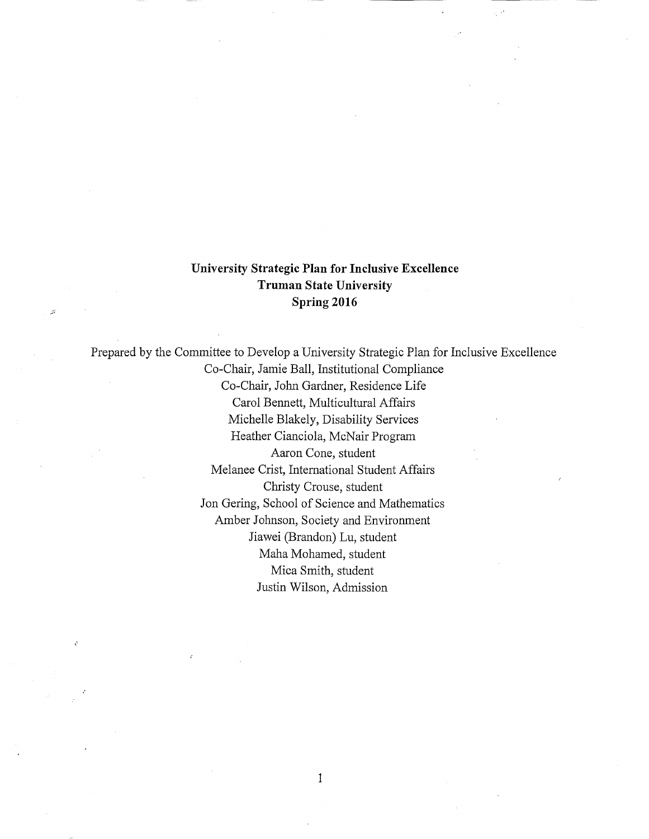## **University Strategic Plan for Inclusive Excellence Truman State University Spring 2016**

Prepared by the Committee to Develop a University Strategic Plan for Inclusive Excellence Co-Chair, Jamie Ball, Institutional Compliance Co-Chair, John Gardner, Residence Life Carol Bennett, Multicultural Affairs Michelle Blakely, Disability Services Heather Cianciola, McNair Program Aaron Cone, student Melanee Crist, International Student Affairs Christy Crouse, student Jon Gering, School of Science and Mathematics Amber Johnson, Society and Environment Jiawei (Brandon) Lu, student Maha Mohamed, student Mica Smith, student Justin Wilson, Admission

1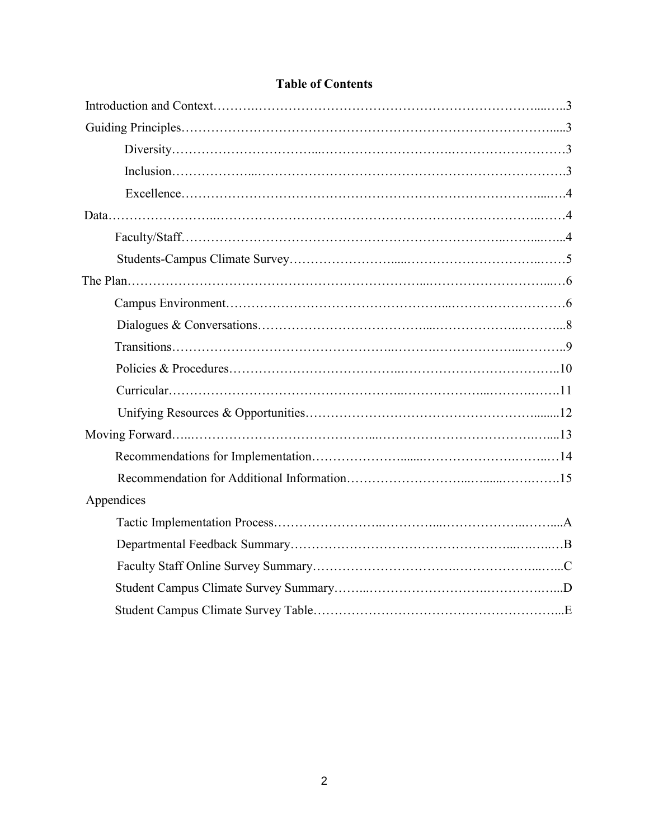| Appendices |  |
|------------|--|
|            |  |
|            |  |
|            |  |
|            |  |
|            |  |

# **Table of Contents**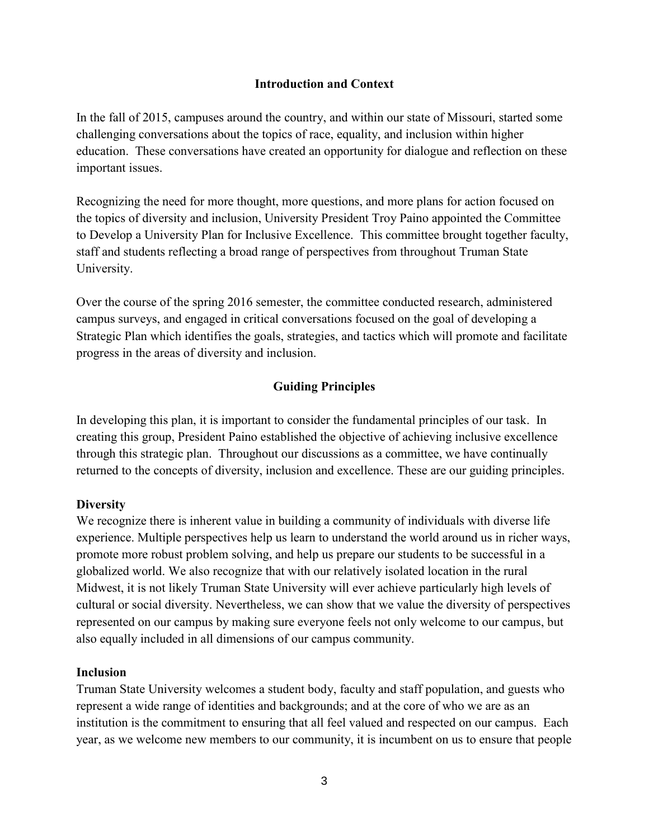### **Introduction and Context**

<span id="page-2-0"></span>In the fall of 2015, campuses around the country, and within our state of Missouri, started some challenging conversations about the topics of race, equality, and inclusion within higher education. These conversations have created an opportunity for dialogue and reflection on these important issues.

 to Develop a University Plan for Inclusive Excellence. This committee brought together faculty, Recognizing the need for more thought, more questions, and more plans for action focused on the topics of diversity and inclusion, University President Troy Paino appointed the Committee staff and students reflecting a broad range of perspectives from throughout Truman State University.

Over the course of the spring 2016 semester, the committee conducted research, administered campus surveys, and engaged in critical conversations focused on the goal of developing a Strategic Plan which identifies the goals, strategies, and tactics which will promote and facilitate progress in the areas of diversity and inclusion.

### **Guiding Principles**

 through this strategic plan. Throughout our discussions as a committee, we have continually In developing this plan, it is important to consider the fundamental principles of our task. In creating this group, President Paino established the objective of achieving inclusive excellence returned to the concepts of diversity, inclusion and excellence. These are our guiding principles.

### **Diversity**

We recognize there is inherent value in building a community of individuals with diverse life experience. Multiple perspectives help us learn to understand the world around us in richer ways, promote more robust problem solving, and help us prepare our students to be successful in a globalized world. We also recognize that with our relatively isolated location in the rural Midwest, it is not likely Truman State University will ever achieve particularly high levels of cultural or social diversity. Nevertheless, we can show that we value the diversity of perspectives represented on our campus by making sure everyone feels not only welcome to our campus, but also equally included in all dimensions of our campus community.

#### **Inclusion**

Truman State University welcomes a student body, faculty and staff population, and guests who represent a wide range of identities and backgrounds; and at the core of who we are as an institution is the commitment to ensuring that all feel valued and respected on our campus. Each year, as we welcome new members to our community, it is incumbent on us to ensure that people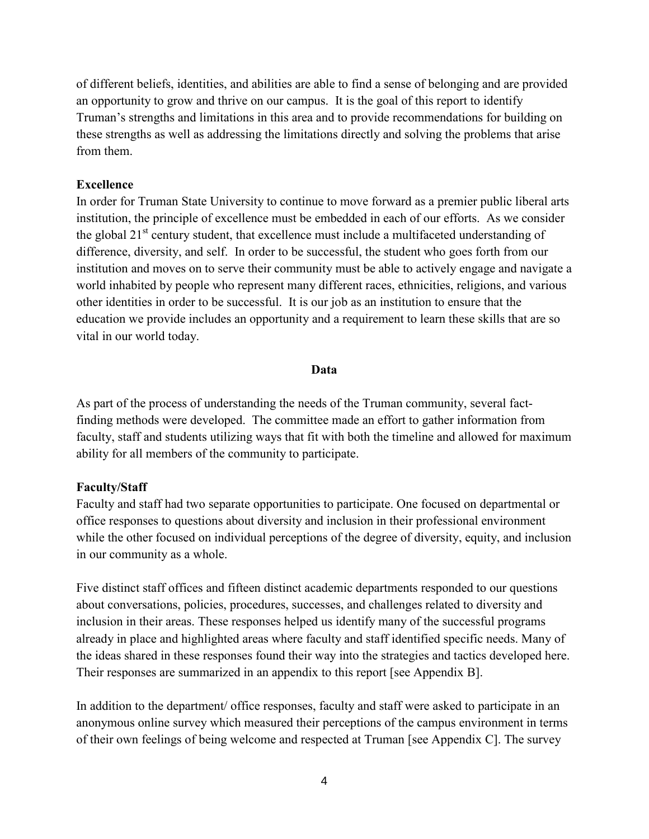<span id="page-3-0"></span>of different beliefs, identities, and abilities are able to find a sense of belonging and are provided an opportunity to grow and thrive on our campus. It is the goal of this report to identify Truman's strengths and limitations in this area and to provide recommendations for building on these strengths as well as addressing the limitations directly and solving the problems that arise from them.

#### **Excellence**

 difference, diversity, and self. In order to be successful, the student who goes forth from our institution and moves on to serve their community must be able to actively engage and navigate a In order for Truman State University to continue to move forward as a premier public liberal arts institution, the principle of excellence must be embedded in each of our efforts. As we consider the global  $21<sup>st</sup>$  century student, that excellence must include a multifaceted understanding of world inhabited by people who represent many different races, ethnicities, religions, and various other identities in order to be successful. It is our job as an institution to ensure that the education we provide includes an opportunity and a requirement to learn these skills that are so vital in our world today.

#### **Data**

As part of the process of understanding the needs of the Truman community, several factfinding methods were developed. The committee made an effort to gather information from faculty, staff and students utilizing ways that fit with both the timeline and allowed for maximum ability for all members of the community to participate.

#### **Faculty/Staff**

Faculty and staff had two separate opportunities to participate. One focused on departmental or office responses to questions about diversity and inclusion in their professional environment while the other focused on individual perceptions of the degree of diversity, equity, and inclusion in our community as a whole.

 the ideas shared in these responses found their way into the strategies and tactics developed here. Their responses are summarized in an appendix to this report [see Appendix B]. Five distinct staff offices and fifteen distinct academic departments responded to our questions about conversations, policies, procedures, successes, and challenges related to diversity and inclusion in their areas. These responses helped us identify many of the successful programs already in place and highlighted areas where faculty and staff identified specific needs. Many of

 In addition to the department/ office responses, faculty and staff were asked to participate in an anonymous online survey which measured their perceptions of the campus environment in terms of their own feelings of being welcome and respected at Truman [see Appendix C]. The survey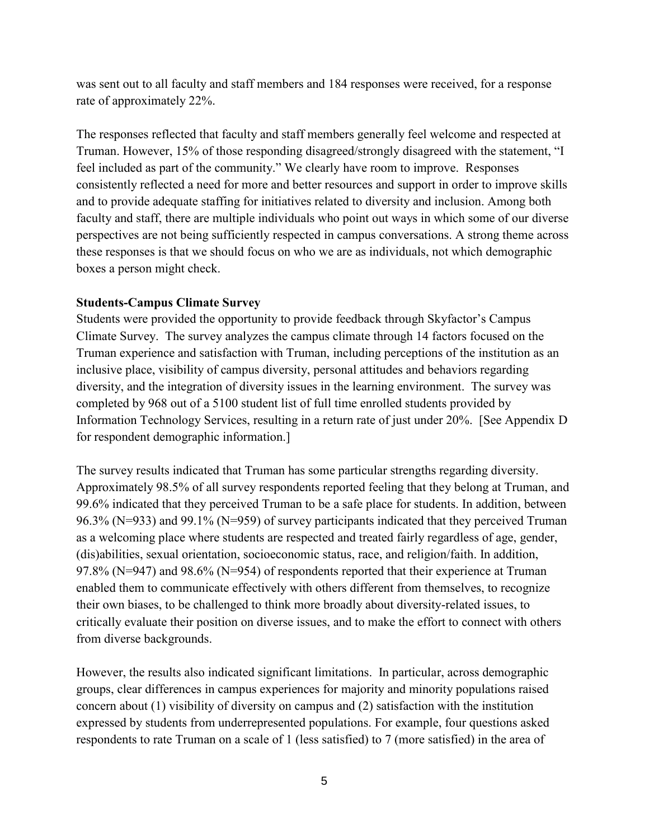was sent out to all faculty and staff members and 184 responses were received, for a response rate of approximately 22%.

 feel included as part of the community." We clearly have room to improve. Responses The responses reflected that faculty and staff members generally feel welcome and respected at Truman. However, 15% of those responding disagreed/strongly disagreed with the statement, "I consistently reflected a need for more and better resources and support in order to improve skills and to provide adequate staffing for initiatives related to diversity and inclusion. Among both faculty and staff, there are multiple individuals who point out ways in which some of our diverse perspectives are not being sufficiently respected in campus conversations. A strong theme across these responses is that we should focus on who we are as individuals, not which demographic boxes a person might check.

#### **Students-Campus Climate Survey**

 Information Technology Services, resulting in a return rate of just under 20%. [See Appendix D Students were provided the opportunity to provide feedback through Skyfactor's Campus Climate Survey. The survey analyzes the campus climate through 14 factors focused on the Truman experience and satisfaction with Truman, including perceptions of the institution as an inclusive place, visibility of campus diversity, personal attitudes and behaviors regarding diversity, and the integration of diversity issues in the learning environment. The survey was completed by 968 out of a 5100 student list of full time enrolled students provided by for respondent demographic information.]

 99.6% indicated that they perceived Truman to be a safe place for students. In addition, between 97.8% (N=947) and 98.6% (N=954) of respondents reported that their experience at Truman The survey results indicated that Truman has some particular strengths regarding diversity. Approximately 98.5% of all survey respondents reported feeling that they belong at Truman, and 96.3% (N=933) and 99.1% (N=959) of survey participants indicated that they perceived Truman as a welcoming place where students are respected and treated fairly regardless of age, gender, (dis)abilities, sexual orientation, socioeconomic status, race, and religion/faith. In addition, enabled them to communicate effectively with others different from themselves, to recognize their own biases, to be challenged to think more broadly about diversity-related issues, to critically evaluate their position on diverse issues, and to make the effort to connect with others from diverse backgrounds.

However, the results also indicated significant limitations. In particular, across demographic groups, clear differences in campus experiences for majority and minority populations raised concern about (1) visibility of diversity on campus and (2) satisfaction with the institution expressed by students from underrepresented populations. For example, four questions asked respondents to rate Truman on a scale of 1 (less satisfied) to 7 (more satisfied) in the area of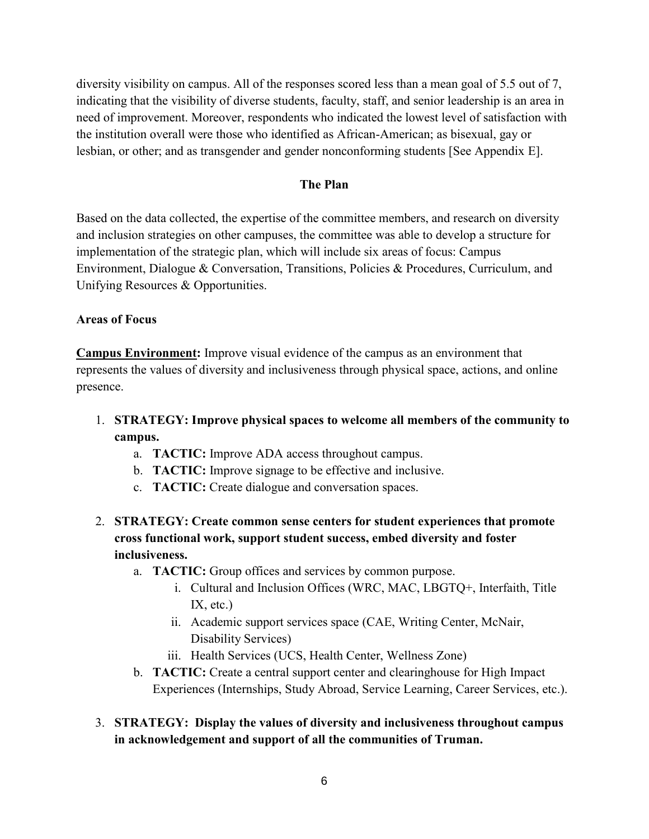diversity visibility on campus. All of the responses scored less than a mean goal of 5.5 out of 7, indicating that the visibility of diverse students, faculty, staff, and senior leadership is an area in need of improvement. Moreover, respondents who indicated the lowest level of satisfaction with the institution overall were those who identified as African-American; as bisexual, gay or lesbian, or other; and as transgender and gender nonconforming students [See Appendix E].

### **The Plan**

Based on the data collected, the expertise of the committee members, and research on diversity and inclusion strategies on other campuses, the committee was able to develop a structure for implementation of the strategic plan, which will include six areas of focus: Campus Environment, Dialogue & Conversation, Transitions, Policies & Procedures, Curriculum, and Unifying Resources & Opportunities.

### **Areas of Focus**

**Campus Environment:** Improve visual evidence of the campus as an environment that represents the values of diversity and inclusiveness through physical space, actions, and online presence.

- 1. **STRATEGY: Improve physical spaces to welcome all members of the community to campus.**
	- a. **TACTIC:** Improve ADA access throughout campus.
	- b. **TACTIC:** Improve signage to be effective and inclusive.
	- c. **TACTIC:** Create dialogue and conversation spaces.
- 2. **STRATEGY: Create common sense centers for student experiences that promote cross functional work, support student success, embed diversity and foster inclusiveness.**
	- a. **TACTIC:** Group offices and services by common purpose.
		- i. Cultural and Inclusion Offices (WRC, MAC, LBGTQ+, Interfaith, Title IX, etc.)
		- ii. Academic support services space (CAE, Writing Center, McNair, Disability Services)
		- iii. Health Services (UCS, Health Center, Wellness Zone)
	- b. **TACTIC:** Create a central support center and clearinghouse for High Impact Experiences (Internships, Study Abroad, Service Learning, Career Services, etc.).
- 3. **STRATEGY: Display the values of diversity and inclusiveness throughout campus in acknowledgement and support of all the communities of Truman.**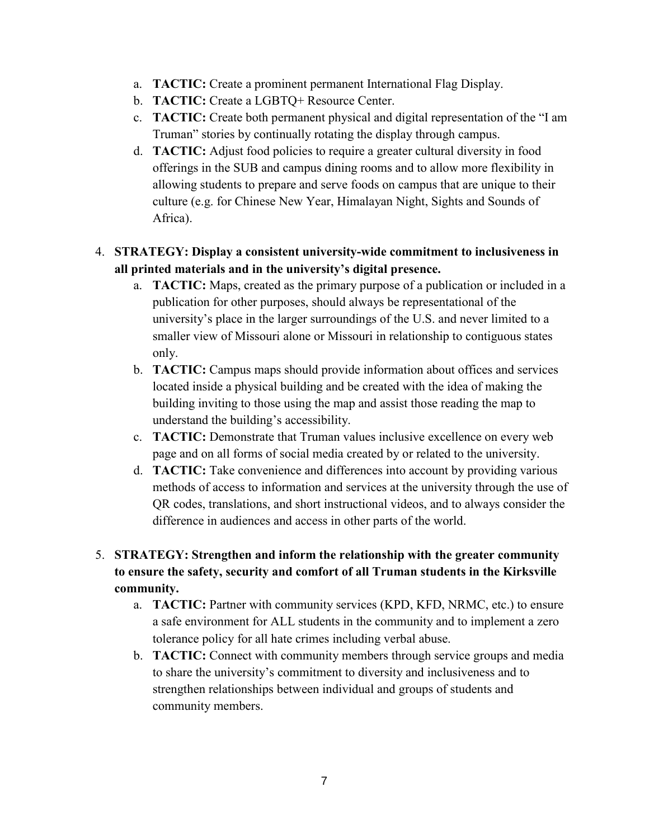- a. **TACTIC:** Create a prominent permanent International Flag Display.
- b. **TACTIC:** Create a LGBTQ+ Resource Center.
- c. **TACTIC:** Create both permanent physical and digital representation of the "I am Truman" stories by continually rotating the display through campus.
- d. **TACTIC:** Adjust food policies to require a greater cultural diversity in food offerings in the SUB and campus dining rooms and to allow more flexibility in allowing students to prepare and serve foods on campus that are unique to their culture (e.g. for Chinese New Year, Himalayan Night, Sights and Sounds of Africa).

## 4. **STRATEGY: Display a consistent university-wide commitment to inclusiveness in all printed materials and in the university's digital presence.**

- a. **TACTIC:** Maps, created as the primary purpose of a publication or included in a publication for other purposes, should always be representational of the university's place in the larger surroundings of the U.S. and never limited to a smaller view of Missouri alone or Missouri in relationship to contiguous states only.
- b. **TACTIC:** Campus maps should provide information about offices and services located inside a physical building and be created with the idea of making the building inviting to those using the map and assist those reading the map to understand the building's accessibility.
- c. **TACTIC:** Demonstrate that Truman values inclusive excellence on every web page and on all forms of social media created by or related to the university.
- d. **TACTIC:** Take convenience and differences into account by providing various methods of access to information and services at the university through the use of QR codes, translations, and short instructional videos, and to always consider the difference in audiences and access in other parts of the world.

## 5. **STRATEGY: Strengthen and inform the relationship with the greater community to ensure the safety, security and comfort of all Truman students in the Kirksville community.**

- a. **TACTIC:** Partner with community services (KPD, KFD, NRMC, etc.) to ensure a safe environment for ALL students in the community and to implement a zero tolerance policy for all hate crimes including verbal abuse.
- b. **TACTIC:** Connect with community members through service groups and media to share the university's commitment to diversity and inclusiveness and to strengthen relationships between individual and groups of students and community members.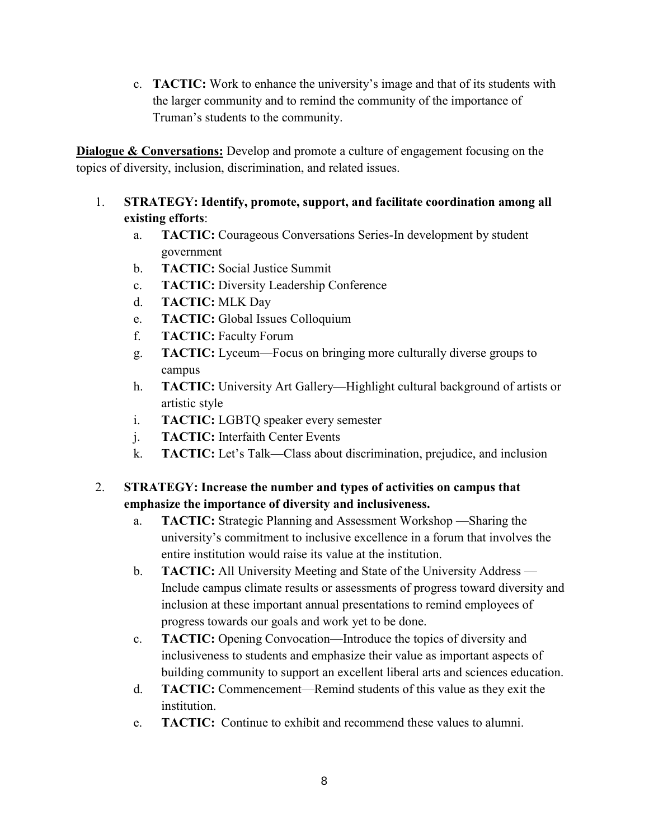c. **TACTIC:** Work to enhance the university's image and that of its students with the larger community and to remind the community of the importance of Truman's students to the community.

**Dialogue & Conversations:** Develop and promote a culture of engagement focusing on the topics of diversity, inclusion, discrimination, and related issues.

## 1. **STRATEGY: Identify, promote, support, and facilitate coordination among all existing efforts**:

- a. **TACTIC:** Courageous Conversations Series-In development by student government
- b. **TACTIC:** Social Justice Summit
- c. **TACTIC:** Diversity Leadership Conference
- d. **TACTIC:** MLK Day
- e. **TACTIC:** Global Issues Colloquium
- f. **TACTIC:** Faculty Forum
- g. **TACTIC:** Lyceum—Focus on bringing more culturally diverse groups to campus
- h. **TACTIC:** University Art Gallery—Highlight cultural background of artists or artistic style
- i. **TACTIC:** LGBTQ speaker every semester
- j. **TACTIC:** Interfaith Center Events
- k. **TACTIC:** Let's Talk—Class about discrimination, prejudice, and inclusion

## 2. **STRATEGY: Increase the number and types of activities on campus that emphasize the importance of diversity and inclusiveness.**

- a. **TACTIC:** Strategic Planning and Assessment Workshop —Sharing the university's commitment to inclusive excellence in a forum that involves the entire institution would raise its value at the institution.
- b. **TACTIC:** All University Meeting and State of the University Address Include campus climate results or assessments of progress toward diversity and inclusion at these important annual presentations to remind employees of progress towards our goals and work yet to be done.
- c. **TACTIC:** Opening Convocation—Introduce the topics of diversity and inclusiveness to students and emphasize their value as important aspects of building community to support an excellent liberal arts and sciences education.
- d. **TACTIC:** Commencement—Remind students of this value as they exit the institution.
- e. **TACTIC:** Continue to exhibit and recommend these values to alumni.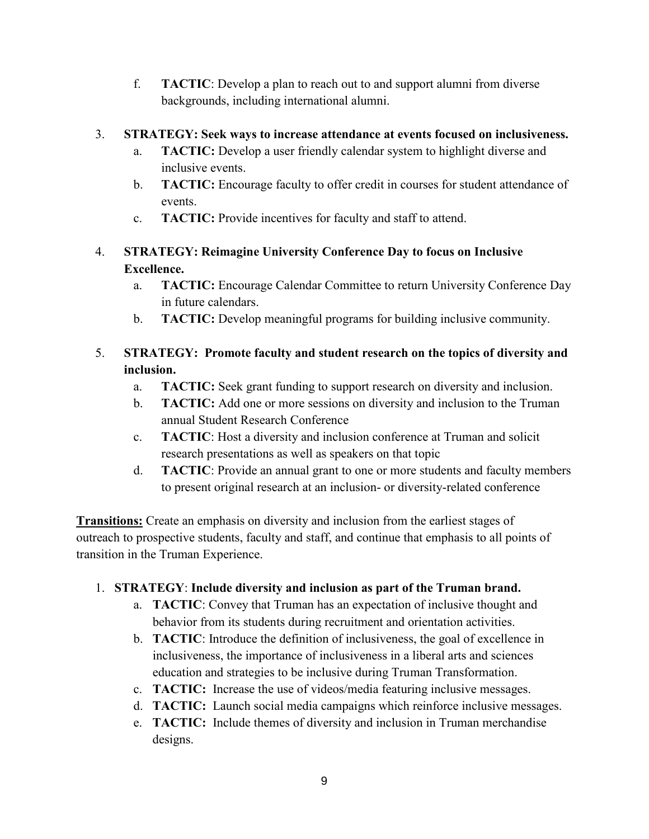<span id="page-8-0"></span>f. **TACTIC**: Develop a plan to reach out to and support alumni from diverse backgrounds, including international alumni.

## 3. **STRATEGY: Seek ways to increase attendance at events focused on inclusiveness.**

- a. **TACTIC:** Develop a user friendly calendar system to highlight diverse and inclusive events.
- b. **TACTIC:** Encourage faculty to offer credit in courses for student attendance of events.
- c. **TACTIC:** Provide incentives for faculty and staff to attend.

# 4. **STRATEGY: Reimagine University Conference Day to focus on Inclusive Excellence.**

- a. **TACTIC:** Encourage Calendar Committee to return University Conference Day in future calendars.
- b. **TACTIC:** Develop meaningful programs for building inclusive community.

# 5. **STRATEGY: Promote faculty and student research on the topics of diversity and inclusion.**

- a. **TACTIC:** Seek grant funding to support research on diversity and inclusion.
- b. **TACTIC:** Add one or more sessions on diversity and inclusion to the Truman annual Student Research Conference
- c. **TACTIC**: Host a diversity and inclusion conference at Truman and solicit research presentations as well as speakers on that topic
- to present original research at an inclusion- or diversity-related conference d. **TACTIC**: Provide an annual grant to one or more students and faculty members

**Transitions:** Create an emphasis on diversity and inclusion from the earliest stages of outreach to prospective students, faculty and staff, and continue that emphasis to all points of transition in the Truman Experience.

# 1. **STRATEGY**: **Include diversity and inclusion as part of the Truman brand.**

- a. **TACTIC**: Convey that Truman has an expectation of inclusive thought and behavior from its students during recruitment and orientation activities.
- b. **TACTIC**: Introduce the definition of inclusiveness, the goal of excellence in inclusiveness, the importance of inclusiveness in a liberal arts and sciences education and strategies to be inclusive during Truman Transformation.
- c. **TACTIC:** Increase the use of videos/media featuring inclusive messages.
- d. **TACTIC:** Launch social media campaigns which reinforce inclusive messages.
- e. **TACTIC:** Include themes of diversity and inclusion in Truman merchandise designs.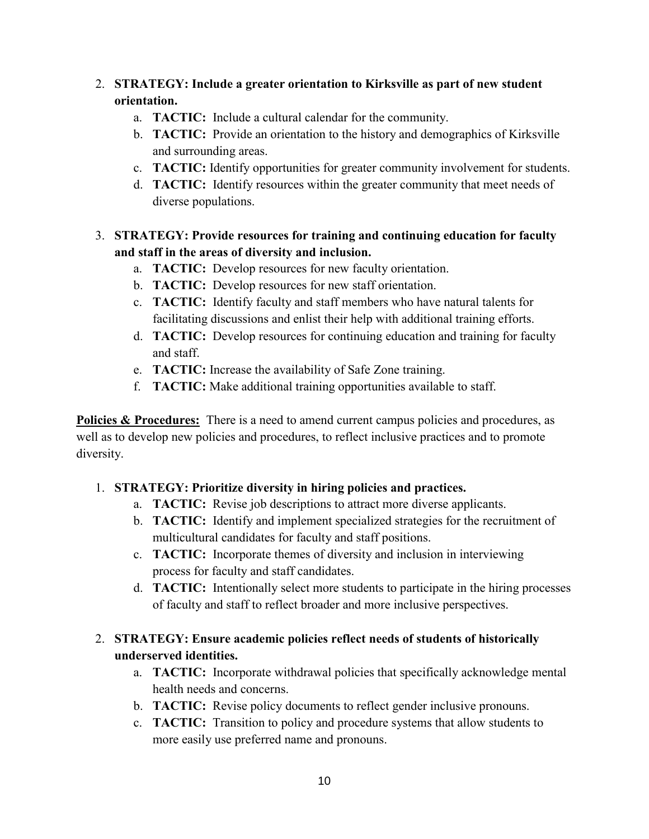## <span id="page-9-0"></span>2. **STRATEGY: Include a greater orientation to Kirksville as part of new student orientation.**

- a. **TACTIC:** Include a cultural calendar for the community.
- b. **TACTIC:** Provide an orientation to the history and demographics of Kirksville and surrounding areas.
- c. **TACTIC:** Identify opportunities for greater community involvement for students.
- d. **TACTIC:** Identify resources within the greater community that meet needs of diverse populations.
- **and staff in the areas of diversity and inclusion.** 3. **STRATEGY: Provide resources for training and continuing education for faculty** 
	- a. **TACTIC:** Develop resources for new faculty orientation.
	- b. **TACTIC:** Develop resources for new staff orientation.
	- c. **TACTIC:** Identify faculty and staff members who have natural talents for facilitating discussions and enlist their help with additional training efforts.
	- d. **TACTIC:** Develop resources for continuing education and training for faculty and staff.
	- e. **TACTIC:** Increase the availability of Safe Zone training.
	- f. **TACTIC:** Make additional training opportunities available to staff.

**Policies & Procedures:** There is a need to amend current campus policies and procedures, as well as to develop new policies and procedures, to reflect inclusive practices and to promote diversity.

## 1. **STRATEGY: Prioritize diversity in hiring policies and practices.**

- a. **TACTIC:** Revise job descriptions to attract more diverse applicants.
- b. **TACTIC:** Identify and implement specialized strategies for the recruitment of multicultural candidates for faculty and staff positions.
- c. **TACTIC:** Incorporate themes of diversity and inclusion in interviewing process for faculty and staff candidates.
- d. **TACTIC:** Intentionally select more students to participate in the hiring processes of faculty and staff to reflect broader and more inclusive perspectives.

## 2. **STRATEGY: Ensure academic policies reflect needs of students of historically underserved identities.**

- a. **TACTIC:** Incorporate withdrawal policies that specifically acknowledge mental health needs and concerns.
- b. **TACTIC:** Revise policy documents to reflect gender inclusive pronouns.
- c. **TACTIC:** Transition to policy and procedure systems that allow students to more easily use preferred name and pronouns.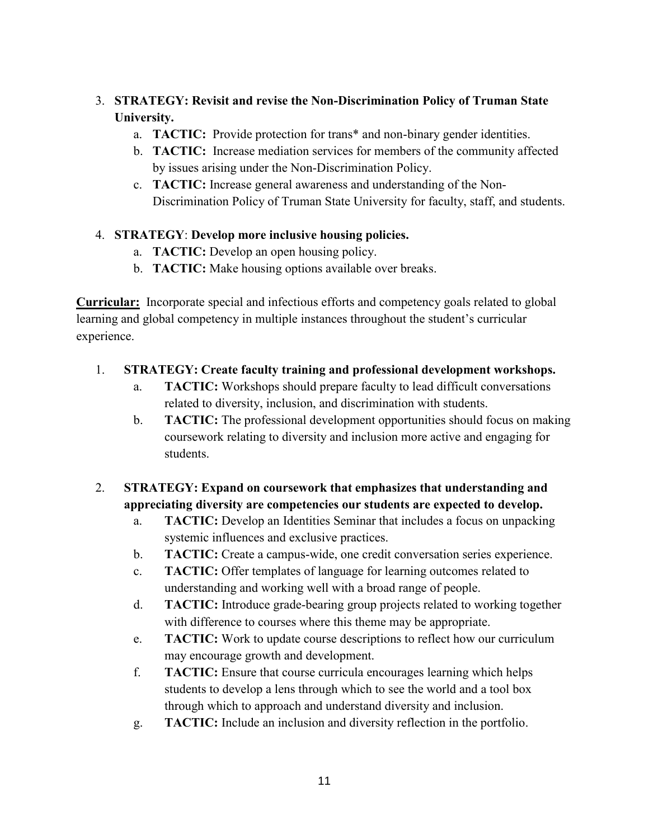## 3. **STRATEGY: Revisit and revise the Non-Discrimination Policy of Truman State University.**

- a. **TACTIC:** Provide protection for trans\* and non-binary gender identities.
- b. **TACTIC:** Increase mediation services for members of the community affected by issues arising under the Non-Discrimination Policy.
- c. **TACTIC:** Increase general awareness and understanding of the Non-Discrimination Policy of Truman State University for faculty, staff, and students.

### 4. **STRATEGY**: **Develop more inclusive housing policies.**

- a. **TACTIC:** Develop an open housing policy.
- b. **TACTIC:** Make housing options available over breaks.

 **Curricular:** Incorporate special and infectious efforts and competency goals related to global learning and global competency in multiple instances throughout the student's curricular experience.

### 1. **STRATEGY: Create faculty training and professional development workshops.**

- a. **TACTIC:** Workshops should prepare faculty to lead difficult conversations related to diversity, inclusion, and discrimination with students.
- b. **TACTIC:** The professional development opportunities should focus on making coursework relating to diversity and inclusion more active and engaging for students.

# 2. **STRATEGY: Expand on coursework that emphasizes that understanding and appreciating diversity are competencies our students are expected to develop.**

- a. **TACTIC:** Develop an Identities Seminar that includes a focus on unpacking systemic influences and exclusive practices.
- b. **TACTIC:** Create a campus-wide, one credit conversation series experience.
- c. **TACTIC:** Offer templates of language for learning outcomes related to understanding and working well with a broad range of people.
- d. **TACTIC:** Introduce grade-bearing group projects related to working together with difference to courses where this theme may be appropriate.
- may encourage growth and development. e. **TACTIC:** Work to update course descriptions to reflect how our curriculum
- f. **TACTIC:** Ensure that course curricula encourages learning which helps students to develop a lens through which to see the world and a tool box through which to approach and understand diversity and inclusion.
- g. **TACTIC:** Include an inclusion and diversity reflection in the portfolio.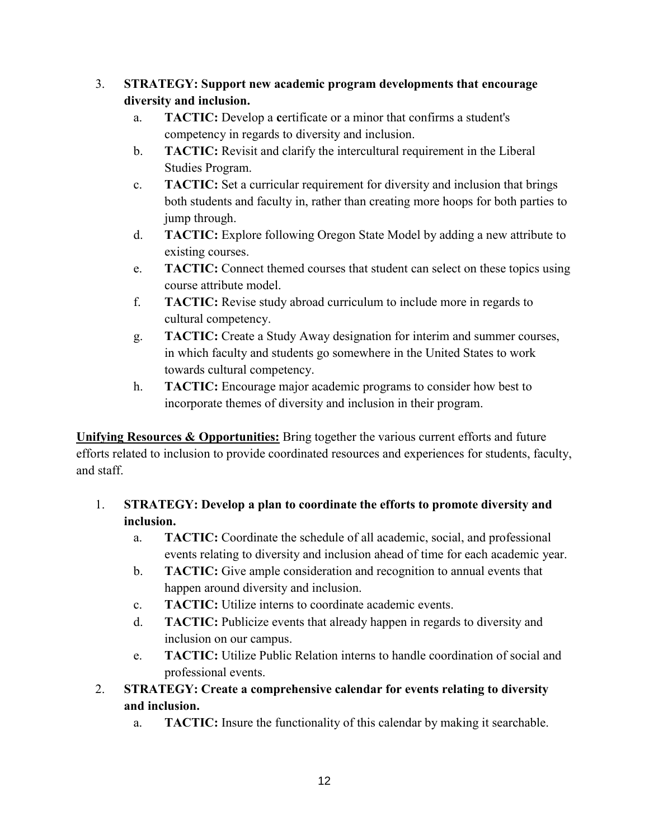## 3. **STRATEGY: Support new academic program developments that encourage diversity and inclusion.**

- a. **TACTIC:** Develop a **c**ertificate or a minor that confirms a student's competency in regards to diversity and inclusion.
- b. **TACTIC:** Revisit and clarify the intercultural requirement in the Liberal Studies Program.
- c. **TACTIC:** Set a curricular requirement for diversity and inclusion that brings both students and faculty in, rather than creating more hoops for both parties to jump through.
- d. **TACTIC:** Explore following Oregon State Model by adding a new attribute to existing courses.
- e. **TACTIC:** Connect themed courses that student can select on these topics using course attribute model.
- f. **TACTIC:** Revise study abroad curriculum to include more in regards to cultural competency.
- g. **TACTIC:** Create a Study Away designation for interim and summer courses, in which faculty and students go somewhere in the United States to work towards cultural competency.
- h. **TACTIC:** Encourage major academic programs to consider how best to incorporate themes of diversity and inclusion in their program.

**Unifying Resources & Opportunities:** Bring together the various current efforts and future efforts related to inclusion to provide coordinated resources and experiences for students, faculty, and staff.

- 1. **STRATEGY: Develop a plan to coordinate the efforts to promote diversity and inclusion.**
	- a. **TACTIC:** Coordinate the schedule of all academic, social, and professional events relating to diversity and inclusion ahead of time for each academic year.
	- b. **TACTIC:** Give ample consideration and recognition to annual events that happen around diversity and inclusion.
	- c. **TACTIC:** Utilize interns to coordinate academic events.
	- d. **TACTIC:** Publicize events that already happen in regards to diversity and inclusion on our campus.
	- e. **TACTIC:** Utilize Public Relation interns to handle coordination of social and professional events.
- 2. **STRATEGY: Create a comprehensive calendar for events relating to diversity and inclusion.**
	- a. **TACTIC:** Insure the functionality of this calendar by making it searchable.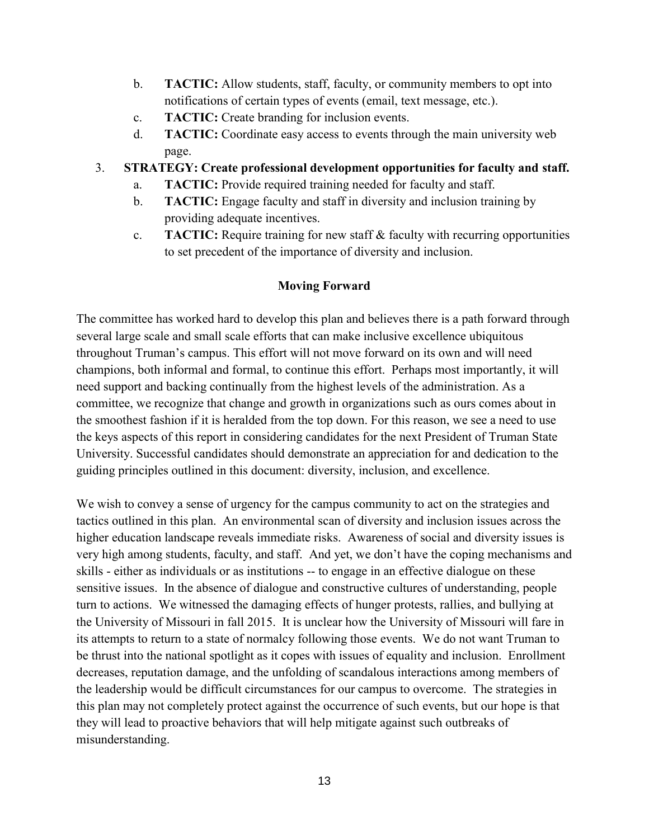- <span id="page-12-0"></span>b. **TACTIC:** Allow students, staff, faculty, or community members to opt into notifications of certain types of events (email, text message, etc.).
- c. **TACTIC:** Create branding for inclusion events.
- d. **TACTIC:** Coordinate easy access to events through the main university web page.

### 3. **STRATEGY: Create professional development opportunities for faculty and staff.**

- a. **TACTIC:** Provide required training needed for faculty and staff.
- b. **TACTIC:** Engage faculty and staff in diversity and inclusion training by providing adequate incentives.
- c. **TACTIC:** Require training for new staff & faculty with recurring opportunities to set precedent of the importance of diversity and inclusion.

## **Moving Forward**

The committee has worked hard to develop this plan and believes there is a path forward through several large scale and small scale efforts that can make inclusive excellence ubiquitous throughout Truman's campus. This effort will not move forward on its own and will need champions, both informal and formal, to continue this effort. Perhaps most importantly, it will need support and backing continually from the highest levels of the administration. As a committee, we recognize that change and growth in organizations such as ours comes about in the smoothest fashion if it is heralded from the top down. For this reason, we see a need to use the keys aspects of this report in considering candidates for the next President of Truman State University. Successful candidates should demonstrate an appreciation for and dedication to the guiding principles outlined in this document: diversity, inclusion, and excellence.

We wish to convey a sense of urgency for the campus community to act on the strategies and tactics outlined in this plan. An environmental scan of diversity and inclusion issues across the higher education landscape reveals immediate risks. Awareness of social and diversity issues is very high among students, faculty, and staff. And yet, we don't have the coping mechanisms and skills - either as individuals or as institutions -- to engage in an effective dialogue on these sensitive issues. In the absence of dialogue and constructive cultures of understanding, people turn to actions. We witnessed the damaging effects of hunger protests, rallies, and bullying at the University of Missouri in fall 2015. It is unclear how the University of Missouri will fare in its attempts to return to a state of normalcy following those events. We do not want Truman to be thrust into the national spotlight as it copes with issues of equality and inclusion. Enrollment decreases, reputation damage, and the unfolding of scandalous interactions among members of the leadership would be difficult circumstances for our campus to overcome. The strategies in this plan may not completely protect against the occurrence of such events, but our hope is that they will lead to proactive behaviors that will help mitigate against such outbreaks of misunderstanding.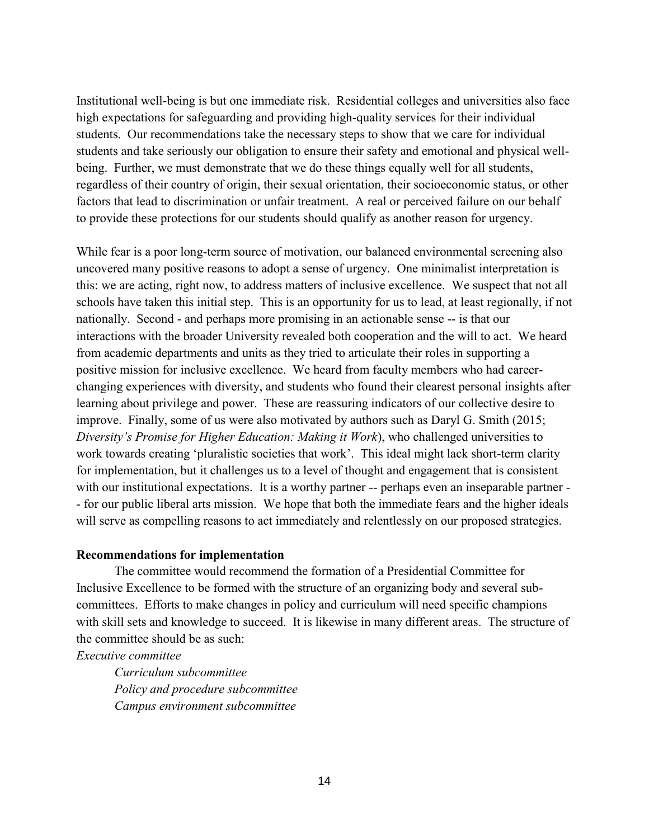to provide these protections for our students should qualify as another reason for urgency. Institutional well-being is but one immediate risk. Residential colleges and universities also face high expectations for safeguarding and providing high-quality services for their individual students. Our recommendations take the necessary steps to show that we care for individual students and take seriously our obligation to ensure their safety and emotional and physical wellbeing. Further, we must demonstrate that we do these things equally well for all students, regardless of their country of origin, their sexual orientation, their socioeconomic status, or other factors that lead to discrimination or unfair treatment. A real or perceived failure on our behalf

 nationally. Second - and perhaps more promising in an actionable sense -- is that our learning about privilege and power. These are reassuring indicators of our collective desire to with our institutional expectations. It is a worthy partner -- perhaps even an inseparable partner - While fear is a poor long-term source of motivation, our balanced environmental screening also uncovered many positive reasons to adopt a sense of urgency. One minimalist interpretation is this: we are acting, right now, to address matters of inclusive excellence. We suspect that not all schools have taken this initial step. This is an opportunity for us to lead, at least regionally, if not interactions with the broader University revealed both cooperation and the will to act. We heard from academic departments and units as they tried to articulate their roles in supporting a positive mission for inclusive excellence. We heard from faculty members who had careerchanging experiences with diversity, and students who found their clearest personal insights after improve. Finally, some of us were also motivated by authors such as Daryl G. Smith (2015; *Diversity's Promise for Higher Education: Making it Work*), who challenged universities to work towards creating 'pluralistic societies that work'. This ideal might lack short-term clarity for implementation, but it challenges us to a level of thought and engagement that is consistent - for our public liberal arts mission. We hope that both the immediate fears and the higher ideals will serve as compelling reasons to act immediately and relentlessly on our proposed strategies.

#### **Recommendations for implementation**

The committee would recommend the formation of a Presidential Committee for Inclusive Excellence to be formed with the structure of an organizing body and several subcommittees. Efforts to make changes in policy and curriculum will need specific champions with skill sets and knowledge to succeed. It is likewise in many different areas. The structure of the committee should be as such:

*Executive committee*

*Curriculum subcommittee Policy and procedure subcommittee Campus environment subcommittee*